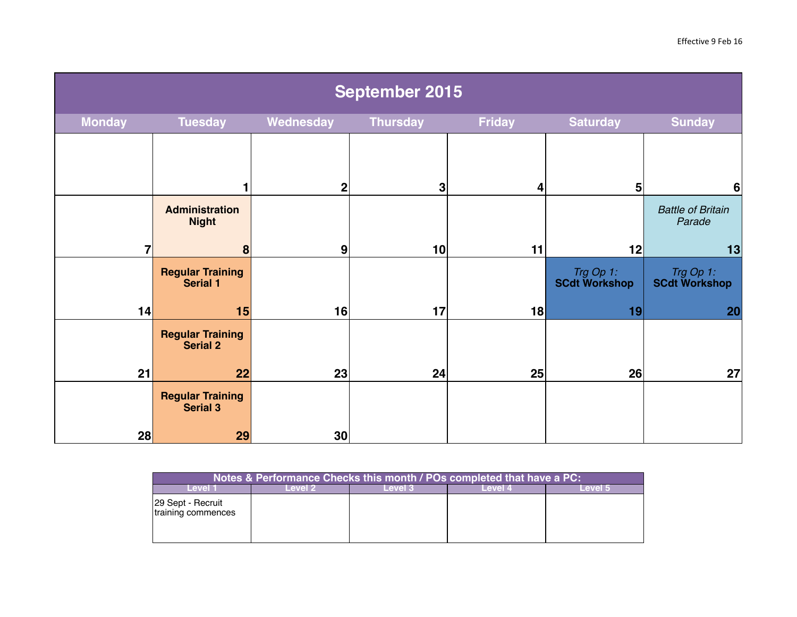| <b>September 2015</b> |                                            |             |                 |               |                                   |                                    |  |  |
|-----------------------|--------------------------------------------|-------------|-----------------|---------------|-----------------------------------|------------------------------------|--|--|
| <b>Monday</b>         | <b>Tuesday</b>                             | Wednesday   | <b>Thursday</b> | <b>Friday</b> | <b>Saturday</b>                   | <b>Sunday</b>                      |  |  |
|                       |                                            | $\mathbf 2$ | 3               | 4             | 5                                 | $6\phantom{1}6$                    |  |  |
|                       | <b>Administration</b><br><b>Night</b>      |             |                 |               |                                   | <b>Battle of Britain</b><br>Parade |  |  |
| 7                     | 8                                          | 9           | 10 <sup>1</sup> | 11            | 12                                | 13                                 |  |  |
|                       | <b>Regular Training</b><br><b>Serial 1</b> |             |                 |               | Trg Op 1:<br><b>SCdt Workshop</b> | Trg Op 1:<br><b>SCdt Workshop</b>  |  |  |
| 14                    | 15                                         | 16          | 17              | 18            | 19                                | 20                                 |  |  |
|                       | <b>Regular Training</b><br><b>Serial 2</b> |             |                 |               |                                   |                                    |  |  |
| 21                    | 22                                         | 23          | 24              | 25            | 26                                | 27                                 |  |  |
|                       | <b>Regular Training</b><br><b>Serial 3</b> |             |                 |               |                                   |                                    |  |  |
| 28                    | 29                                         | 30          |                 |               |                                   |                                    |  |  |

| Notes & Performance Checks this month / POs completed that have a PC: |              |             |         |              |  |  |  |  |  |
|-----------------------------------------------------------------------|--------------|-------------|---------|--------------|--|--|--|--|--|
|                                                                       | <b>AVAL2</b> | <b>AVAL</b> | -evel 4 | <b>ENGLY</b> |  |  |  |  |  |
| 29 Sept - Recruit<br>training commences                               |              |             |         |              |  |  |  |  |  |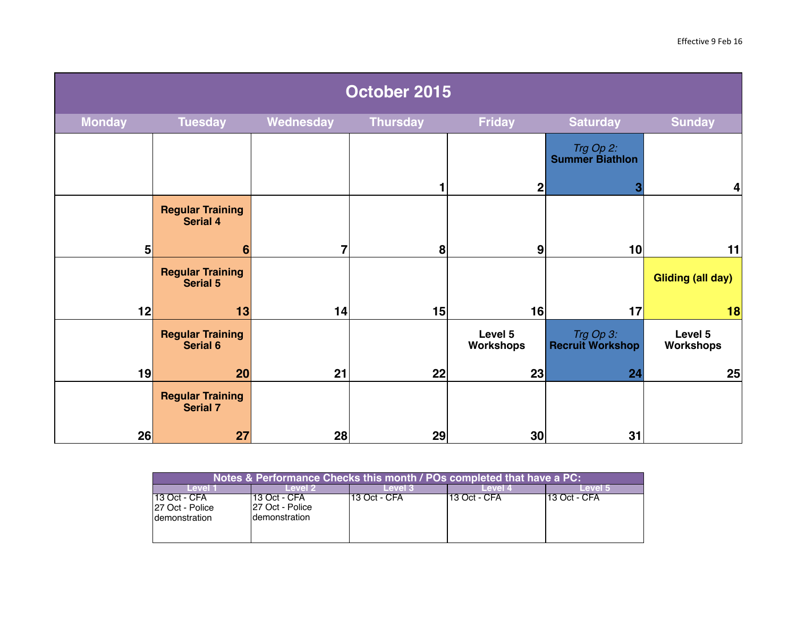| October 2015   |                                            |                |                 |                      |                                      |                          |  |  |
|----------------|--------------------------------------------|----------------|-----------------|----------------------|--------------------------------------|--------------------------|--|--|
| <b>Monday</b>  | <b>Tuesday</b>                             | Wednesday      | <b>Thursday</b> | <b>Friday</b>        | <b>Saturday</b>                      | <b>Sunday</b>            |  |  |
|                |                                            |                |                 |                      | Trg Op 2:<br><b>Summer Biathlon</b>  |                          |  |  |
|                |                                            |                | 1               | $\mathbf 2$          | 3                                    | 4                        |  |  |
|                | <b>Regular Training</b><br><b>Serial 4</b> |                |                 |                      |                                      |                          |  |  |
| 5 <sub>5</sub> | 6                                          | $\overline{7}$ | 8               | 9                    | 10                                   | 11                       |  |  |
|                | <b>Regular Training</b><br><b>Serial 5</b> |                |                 |                      |                                      | <b>Gliding (all day)</b> |  |  |
| 12             | 13                                         | 14             | 15              | 16                   | 17                                   | 18                       |  |  |
|                | <b>Regular Training</b><br><b>Serial 6</b> |                |                 | Level 5<br>Workshops | Trg Op 3:<br><b>Recruit Workshop</b> | Level 5<br>Workshops     |  |  |
| 19             | 20                                         | 21             | 22              | 23                   | 24                                   | 25                       |  |  |
|                | <b>Regular Training</b><br><b>Serial 7</b> |                |                 |                      |                                      |                          |  |  |
| 26             | 27                                         | 28             | 29              | 30                   | 31                                   |                          |  |  |

| Notes & Performance Checks this month / POs completed that have a PC: |                                                     |              |               |               |  |  |  |  |  |
|-----------------------------------------------------------------------|-----------------------------------------------------|--------------|---------------|---------------|--|--|--|--|--|
| Level 1                                                               | Level 2.                                            | Level 3      | Level 4       | Level 5       |  |  |  |  |  |
| $113$ Oct - CFA<br>127 Oct - Police<br>Idemonstration                 | 113 Oct - CFA<br>127 Oct - Police<br>Idemonstration | 13 Oct - CFA | 113 Oct - CFA | '13 Oct - CFA |  |  |  |  |  |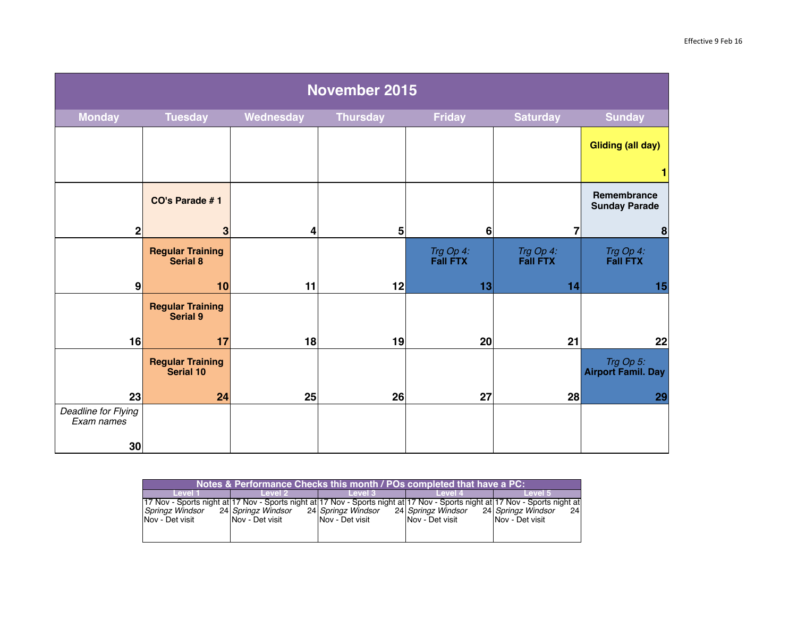| November 2015                     |                                             |           |                 |                              |                              |                                        |  |  |
|-----------------------------------|---------------------------------------------|-----------|-----------------|------------------------------|------------------------------|----------------------------------------|--|--|
| <b>Monday</b>                     | <b>Tuesday</b>                              | Wednesday | <b>Thursday</b> | <b>Friday</b>                | <b>Saturday</b>              | <b>Sunday</b>                          |  |  |
|                                   |                                             |           |                 |                              |                              | <b>Gliding (all day)</b>               |  |  |
|                                   |                                             |           |                 |                              |                              |                                        |  |  |
|                                   | CO's Parade #1                              |           |                 |                              |                              | Remembrance<br><b>Sunday Parade</b>    |  |  |
| $\mathbf{2}$                      | 3                                           | 4         | 5 <sup>1</sup>  | 6                            | 7                            | $\boldsymbol{8}$                       |  |  |
|                                   | <b>Regular Training</b><br><b>Serial 8</b>  |           |                 | Trg Op 4:<br><b>Fall FTX</b> | Trg Op 4:<br><b>Fall FTX</b> | Trg Op 4:<br><b>Fall FTX</b>           |  |  |
| 9                                 | 10                                          | 11        | 12              | 13                           | 14                           | 15                                     |  |  |
|                                   | <b>Regular Training</b><br><b>Serial 9</b>  |           |                 |                              |                              |                                        |  |  |
| 16                                | 17                                          | 18        | 19              | 20                           | 21                           | 22                                     |  |  |
|                                   | <b>Regular Training</b><br><b>Serial 10</b> |           |                 |                              |                              | Trg Op 5:<br><b>Airport Famil. Day</b> |  |  |
| 23                                | 24                                          | 25        | 26              | 27                           | 28                           | 29                                     |  |  |
| Deadline for Flying<br>Exam names |                                             |           |                 |                              |                              |                                        |  |  |
| 30 <sup>1</sup>                   |                                             |           |                 |                              |                              |                                        |  |  |

| Notes & Performance Checks this month / POs completed that have a PC: |                        |                    |                         |                                                                                                                              |  |  |  |  |  |
|-----------------------------------------------------------------------|------------------------|--------------------|-------------------------|------------------------------------------------------------------------------------------------------------------------------|--|--|--|--|--|
| _evel 1                                                               | Level 2.               | Level 3            | Level 4                 | Level 5                                                                                                                      |  |  |  |  |  |
|                                                                       |                        |                    |                         | 17 Nov - Sports night at 17 Nov - Sports night at 17 Nov - Sports night at 17 Nov - Sports night at 17 Nov - Sports night at |  |  |  |  |  |
| Springz Windsor                                                       | 24 Springz Windsor     | 24 Springz Windsor | 24 Springz Windsor      | 24 Springz Windsor<br>24 l                                                                                                   |  |  |  |  |  |
| INov - Det visit                                                      | <b>Nov</b> - Det visit | INov - Det visit   | <b>INov - Det visit</b> | <b>Nov - Det visit</b>                                                                                                       |  |  |  |  |  |
|                                                                       |                        |                    |                         |                                                                                                                              |  |  |  |  |  |
|                                                                       |                        |                    |                         |                                                                                                                              |  |  |  |  |  |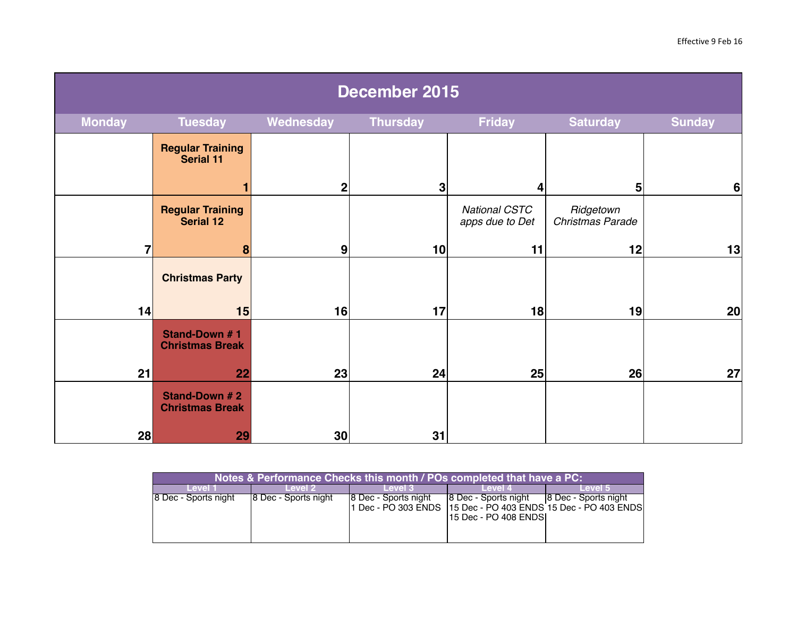| December 2015  |                                             |             |                 |                                         |                               |                 |  |  |
|----------------|---------------------------------------------|-------------|-----------------|-----------------------------------------|-------------------------------|-----------------|--|--|
| <b>Monday</b>  | <b>Tuesday</b>                              | Wednesday   | <b>Thursday</b> | <b>Friday</b>                           | <b>Saturday</b>               | <b>Sunday</b>   |  |  |
|                | <b>Regular Training</b><br><b>Serial 11</b> |             |                 |                                         |                               |                 |  |  |
|                |                                             | $\mathbf 2$ | 3               | 4                                       | 5                             | $6\phantom{1}6$ |  |  |
|                | <b>Regular Training</b><br><b>Serial 12</b> |             |                 | <b>National CSTC</b><br>apps due to Det | Ridgetown<br>Christmas Parade |                 |  |  |
| $\overline{7}$ | 8                                           | 9           | 10 <sup>1</sup> | 11                                      | 12                            | 13              |  |  |
|                | <b>Christmas Party</b>                      |             |                 |                                         |                               |                 |  |  |
| 14             | 15                                          | 16          | 17              | 18                                      | 19                            | 20              |  |  |
|                | Stand-Down #1<br><b>Christmas Break</b>     |             |                 |                                         |                               |                 |  |  |
| 21             | 22                                          | 23          | 24              | 25                                      | 26                            | 27              |  |  |
|                | Stand-Down # 2<br><b>Christmas Break</b>    |             |                 |                                         |                               |                 |  |  |
| 28             | 29                                          | 30          | 31              |                                         |                               |                 |  |  |

| Notes & Performance Checks this month / POs completed that have a PC: |                       |                              |                                                |                                                                                         |  |  |  |  |  |
|-----------------------------------------------------------------------|-----------------------|------------------------------|------------------------------------------------|-----------------------------------------------------------------------------------------|--|--|--|--|--|
| Level 1                                                               | Level 2               | Level 3                      | Level 4                                        | Level 5                                                                                 |  |  |  |  |  |
| 8 Dec - Sports night                                                  | 18 Dec - Sports night | <b>18 Dec - Sports night</b> | 8 Dec - Sports night<br>115 Dec - PO 408 ENDSI | 8 Dec - Sports night<br>1 Dec - PO 303 ENDS   15 Dec - PO 403 ENDS 15 Dec - PO 403 ENDS |  |  |  |  |  |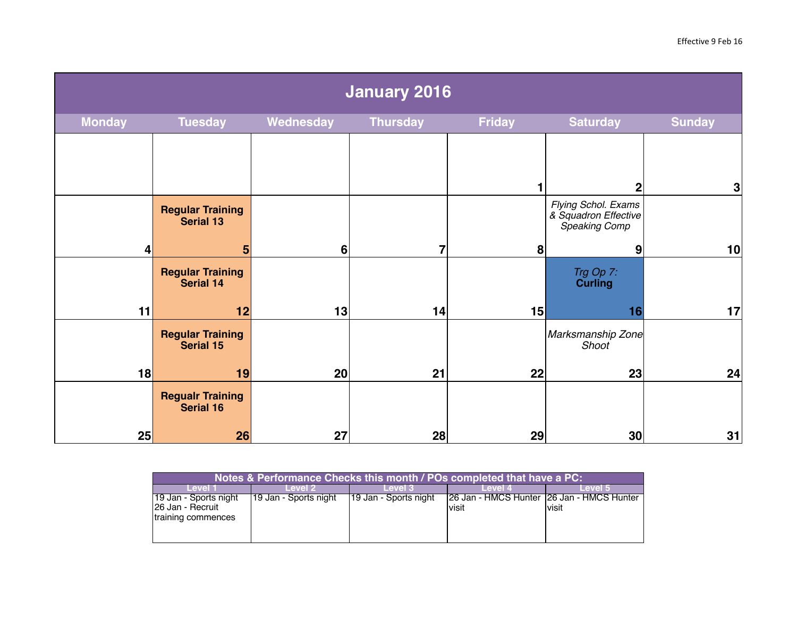| <b>January 2016</b> |                                             |                 |                 |               |                                                                              |               |  |  |
|---------------------|---------------------------------------------|-----------------|-----------------|---------------|------------------------------------------------------------------------------|---------------|--|--|
| <b>Monday</b>       | <b>Tuesday</b>                              | Wednesday       | <b>Thursday</b> | <b>Friday</b> | <b>Saturday</b>                                                              | <b>Sunday</b> |  |  |
|                     |                                             |                 |                 |               |                                                                              |               |  |  |
|                     | <b>Regular Training</b><br><b>Serial 13</b> |                 |                 |               | $\mathbf{2}$<br>Flying Schol. Exams<br>& Squadron Effective<br>Speaking Comp | $\mathbf{3}$  |  |  |
| 4                   | 5                                           | $6\phantom{1}6$ | 7               | 8             | 9                                                                            | 10            |  |  |
|                     | <b>Regular Training<br/>Serial 14</b>       |                 |                 |               | Trg Op 7:<br><b>Curling</b>                                                  |               |  |  |
| 11                  | 12                                          | 13              | 14              | 15            | 16                                                                           | 17            |  |  |
|                     | <b>Regular Training</b><br>Serial 15        |                 |                 |               | Marksmanship Zone<br>Shoot                                                   |               |  |  |
| 18                  | 19                                          | 20              | 21              | 22            | 23                                                                           | 24            |  |  |
|                     | <b>Regualr Training</b><br><b>Serial 16</b> |                 |                 |               |                                                                              |               |  |  |
| 25                  | 26                                          | 27              | 28              | 29            | 30 <sub>2</sub>                                                              | 31            |  |  |

| Notes & Performance Checks this month / POs completed that have a PC: |                       |                       |                                                     |         |  |  |  |  |  |
|-----------------------------------------------------------------------|-----------------------|-----------------------|-----------------------------------------------------|---------|--|--|--|--|--|
| Level 1                                                               | Level 2               | Level 3               | Level 4                                             | Level 5 |  |  |  |  |  |
| 19 Jan - Sports night<br>126 Jan - Recruit<br>training commences      | 19 Jan - Sports night | 19 Jan - Sports night | 26 Jan - HMCS Hunter 26 Jan - HMCS Hunter<br>'visit | visit   |  |  |  |  |  |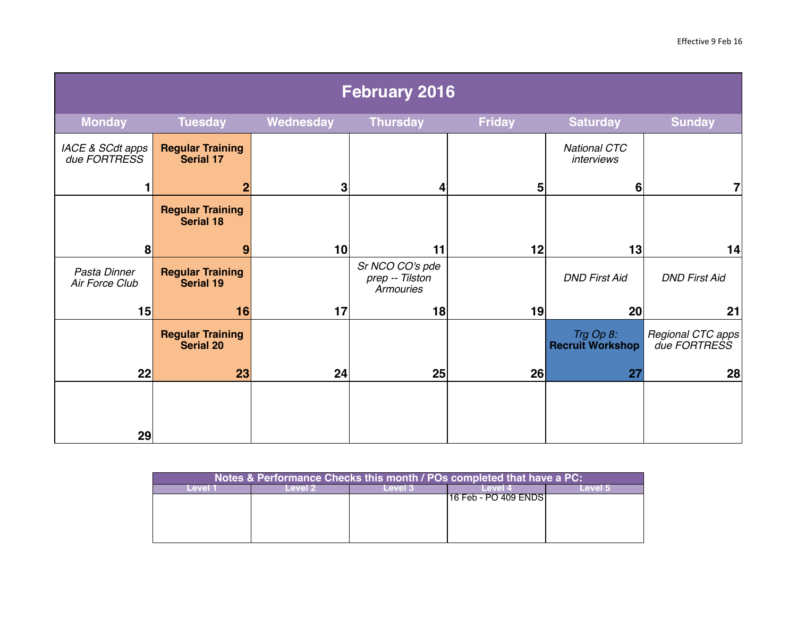| <b>February 2016</b>             |                                             |           |                                                        |               |                                      |                                   |  |  |
|----------------------------------|---------------------------------------------|-----------|--------------------------------------------------------|---------------|--------------------------------------|-----------------------------------|--|--|
| <b>Monday</b>                    | <b>Tuesday</b>                              | Wednesday | <b>Thursday</b>                                        | <b>Friday</b> | <b>Saturday</b>                      | <b>Sunday</b>                     |  |  |
| IACE & SCdt apps<br>due FORTRESS | <b>Regular Training</b><br><b>Serial 17</b> |           |                                                        |               | <b>National CTC</b><br>interviews    |                                   |  |  |
|                                  | $\mathbf{2}$                                | 3         | 4                                                      | 5             | 6                                    | 7                                 |  |  |
|                                  | <b>Regular Training</b><br><b>Serial 18</b> |           |                                                        |               |                                      |                                   |  |  |
| 8                                | 9                                           | 10        | 11                                                     | 12            | 13                                   | 14                                |  |  |
| Pasta Dinner<br>Air Force Club   | <b>Regular Training</b><br><b>Serial 19</b> |           | Sr NCO CO's pde<br>prep -- Tilston<br><b>Armouries</b> |               | <b>DND First Aid</b>                 | <b>DND First Aid</b>              |  |  |
| 15                               | 16                                          | 17        | 18                                                     | 19            | 20                                   | 21                                |  |  |
|                                  | <b>Regular Training</b><br><b>Serial 20</b> |           |                                                        |               | Trg Op 8:<br><b>Recruit Workshop</b> | Regional CTC apps<br>due FORTRESS |  |  |
| 22                               | 23                                          | 24        | 25                                                     | 26            | 27                                   | 28                                |  |  |
|                                  |                                             |           |                                                        |               |                                      |                                   |  |  |
| 29                               |                                             |           |                                                        |               |                                      |                                   |  |  |

| Notes & Performance Checks this month / POs completed that have a PC: |  |  |                        |  |  |  |  |  |  |
|-----------------------------------------------------------------------|--|--|------------------------|--|--|--|--|--|--|
|                                                                       |  |  | <b>ENAL</b>            |  |  |  |  |  |  |
|                                                                       |  |  | 116 Feb - PO 409 ENDST |  |  |  |  |  |  |
|                                                                       |  |  |                        |  |  |  |  |  |  |
|                                                                       |  |  |                        |  |  |  |  |  |  |
|                                                                       |  |  |                        |  |  |  |  |  |  |
|                                                                       |  |  |                        |  |  |  |  |  |  |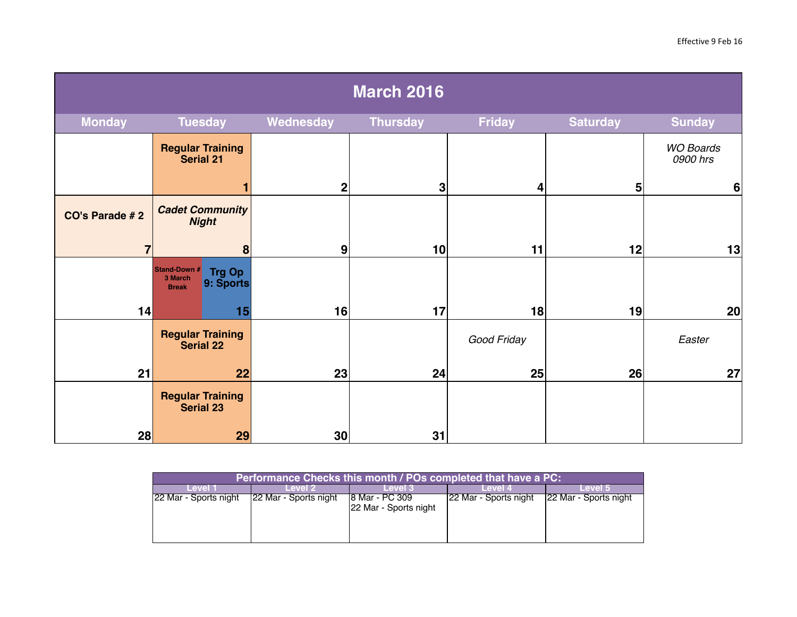| <b>March 2016</b> |                                                                       |                  |                 |               |                 |                              |
|-------------------|-----------------------------------------------------------------------|------------------|-----------------|---------------|-----------------|------------------------------|
| <b>Monday</b>     | <b>Tuesday</b>                                                        | Wednesday        | <b>Thursday</b> | <b>Friday</b> | <b>Saturday</b> | <b>Sunday</b>                |
|                   | <b>Regular Training</b><br><b>Serial 21</b>                           |                  |                 |               |                 | <b>WO Boards</b><br>0900 hrs |
|                   |                                                                       | 2 <sub>l</sub>   | 3               | 4             | 5 <sup>1</sup>  | $6\phantom{1}6$              |
| CO's Parade #2    | <b>Cadet Community</b><br><b>Night</b>                                |                  |                 |               |                 |                              |
| $\overline{7}$    | 8                                                                     | $\boldsymbol{9}$ | 10 <sup>1</sup> | 11            | 12              | 13                           |
|                   | Stand-Down #<br><b>Trg Op</b><br>3 March<br>9: Sports<br><b>Break</b> |                  |                 |               |                 |                              |
| 14                | 15                                                                    | 16               | 17              | 18            | 19              | 20                           |
|                   | <b>Regular Training</b><br><b>Serial 22</b>                           |                  |                 | Good Friday   |                 | Easter                       |
| 21                | 22                                                                    | 23               | 24              | 25            | 26              | 27                           |
|                   | <b>Regular Training</b><br><b>Serial 23</b>                           |                  |                 |               |                 |                              |
| 28                | 29                                                                    | 30 <sup>2</sup>  | 31              |               |                 |                              |

| Performance Checks this month <b>/POs completed that have a PC</b> : |                       |                                          |                       |                       |  |  |  |  |
|----------------------------------------------------------------------|-----------------------|------------------------------------------|-----------------------|-----------------------|--|--|--|--|
| Level 1                                                              | Level 2               | Level 3                                  | Level 4               | Level 5               |  |  |  |  |
| 22 Mar - Sports night                                                | 22 Mar - Sports night | 18 Mar - PC 309<br>22 Mar - Sports night | 22 Mar - Sports night | 22 Mar - Sports night |  |  |  |  |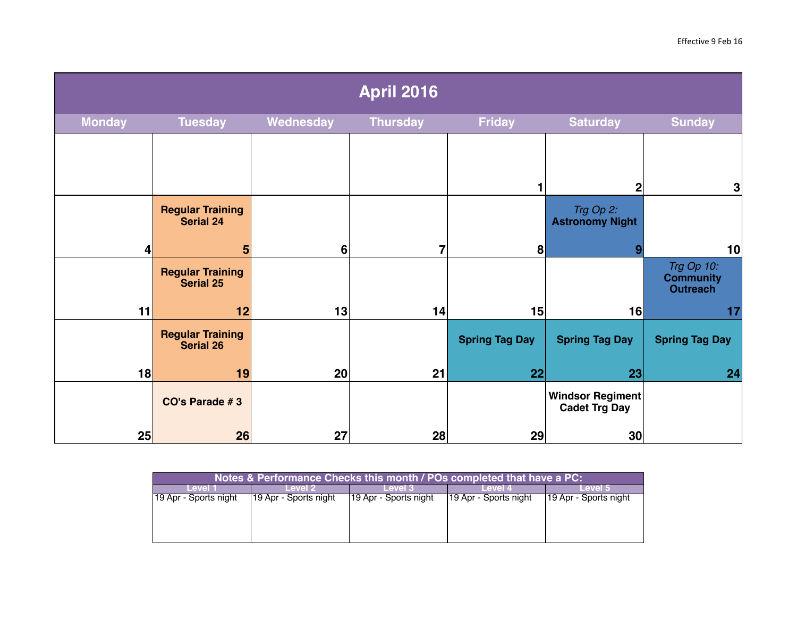| <b>April 2016</b> |                                             |           |                 |                       |                                                 |                                                   |
|-------------------|---------------------------------------------|-----------|-----------------|-----------------------|-------------------------------------------------|---------------------------------------------------|
| <b>Monday</b>     | <b>Tuesday</b>                              | Wednesday | <b>Thursday</b> | <b>Friday</b>         | <b>Saturday</b>                                 | <b>Sunday</b>                                     |
|                   |                                             |           |                 |                       | $\mathbf 2$                                     | 3                                                 |
|                   | <b>Regular Training</b><br><b>Serial 24</b> |           |                 |                       | Trg Op 2:<br><b>Astronomy Night</b>             |                                                   |
| 4                 | 5                                           | 6         | 7               | 8                     | 9                                               | 10                                                |
|                   | <b>Regular Training</b><br><b>Serial 25</b> |           |                 |                       |                                                 | Trg Op 10:<br><b>Community</b><br><b>Outreach</b> |
| 11                | 12                                          | 13        | 14              | 15                    | 16                                              | 17                                                |
|                   | <b>Regular Training</b><br><b>Serial 26</b> |           |                 | <b>Spring Tag Day</b> | <b>Spring Tag Day</b>                           | <b>Spring Tag Day</b>                             |
| 18                | 19                                          | 20        | 21              | 22                    | 23                                              | 24                                                |
|                   | CO's Parade #3                              |           |                 |                       | <b>Windsor Regiment</b><br><b>Cadet Trg Day</b> |                                                   |
| 25                | 26                                          | 27        | 28              | 29                    | 30                                              |                                                   |

| Notes & Performance Checks this month / POs completed that have a PC: |                       |                       |                       |                       |  |  |  |
|-----------------------------------------------------------------------|-----------------------|-----------------------|-----------------------|-----------------------|--|--|--|
| Level 1                                                               | Level 2               | l evel 3              | Level 4               | Level 5               |  |  |  |
| 19 Apr - Sports night                                                 | 19 Apr - Sports night | 19 Apr - Sports night | 19 Apr - Sports night | 19 Apr - Sports night |  |  |  |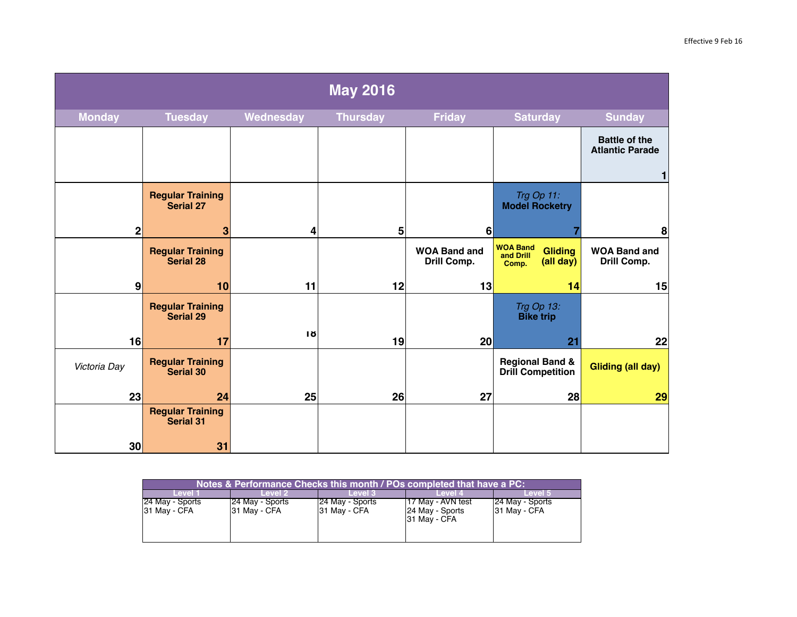| <b>May 2016</b>  |                                             |           |                 |                                    |                                                                      |                                                |
|------------------|---------------------------------------------|-----------|-----------------|------------------------------------|----------------------------------------------------------------------|------------------------------------------------|
| <b>Monday</b>    | <b>Tuesday</b>                              | Wednesday | <b>Thursday</b> | <b>Friday</b>                      | <b>Saturday</b>                                                      | <b>Sunday</b>                                  |
|                  |                                             |           |                 |                                    |                                                                      | <b>Battle of the</b><br><b>Atlantic Parade</b> |
|                  |                                             |           |                 |                                    |                                                                      |                                                |
|                  | <b>Regular Training</b><br><b>Serial 27</b> |           |                 |                                    | Trg Op 11:<br><b>Model Rocketry</b>                                  |                                                |
| $\mathbf{2}$     | 3                                           | 4         | 5               | 6                                  |                                                                      | 8                                              |
|                  | <b>Regular Training</b><br><b>Serial 28</b> |           |                 | <b>WOA Band and</b><br>Drill Comp. | <b>WOA Band</b><br><b>Gliding</b><br>and Drill<br>(all day)<br>Comp. | <b>WOA Band and</b><br>Drill Comp.             |
| $\boldsymbol{9}$ | 10                                          | 11        | 12              | 13                                 | 14                                                                   | 15                                             |
|                  | <b>Regular Training</b><br><b>Serial 29</b> |           |                 |                                    | Trg Op 13:<br><b>Bike trip</b>                                       |                                                |
| 16               | 17                                          | 1ŏ        | 19              | 20                                 | 21                                                                   | 22                                             |
| Victoria Day     | <b>Regular Training</b><br><b>Serial 30</b> |           |                 |                                    | <b>Regional Band &amp;</b><br><b>Drill Competition</b>               | <b>Gliding (all day)</b>                       |
| 23               | 24                                          | 25        | 26              | 27                                 | 28                                                                   | 29                                             |
|                  | <b>Regular Training</b><br><b>Serial 31</b> |           |                 |                                    |                                                                      |                                                |
| 30               | 31                                          |           |                 |                                    |                                                                      |                                                |

| Notes & Performance Checks this month / POs completed that have a PC: |                 |                   |                                 |                 |  |  |  |
|-----------------------------------------------------------------------|-----------------|-------------------|---------------------------------|-----------------|--|--|--|
| Level 1                                                               | Level 2.        | Level 3           | Level 4                         | Level 5         |  |  |  |
| 24 May - Sports                                                       | 24 May - Sports | [24 May - Sports] | 17 May - AVN test               | 24 May - Sports |  |  |  |
| 31 May - CFA                                                          | 31 May - CFA    | 31 May - CFA      | 24 May - Sports<br>31 May - CFA | 31 May - CFA    |  |  |  |